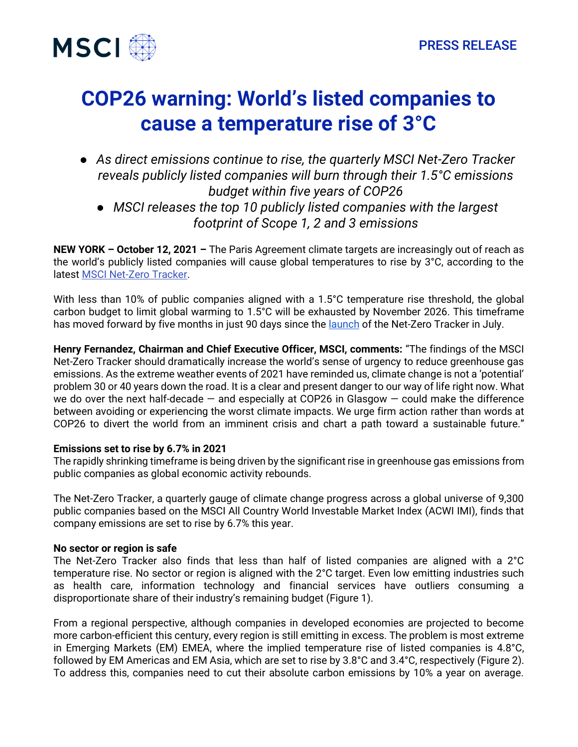



# **COP26 warning: World's listed companies to cause a temperature rise of 3°C**

● *As direct emissions continue to rise, the quarterly MSCI Net-Zero Tracker reveals publicly listed companies will burn through their 1.5°C emissions budget within five years of COP26* ● *MSCI releases the top 10 publicly listed companies with the largest footprint of Scope 1, 2 and 3 emissions*

**NEW YORK – October 12, 2021 –** The Paris Agreement climate targets are increasingly out of reach as the world's publicly listed companies will cause global temperatures to rise by 3°C, according to the latest [MSCI Net-Zero Tracker.](https://www.msci.com/our-solutions/climate-investing/net-zero-tracker)

With less than 10% of public companies aligned with a 1.5°C temperature rise threshold, the global carbon budget to limit global warming to 1.5°C will be exhausted by November 2026. This timeframe has moved forward by five months in just 90 days since the [launch](https://www.msci.com/documents/1296102/26195050/MSCI-Net-Zero-Tracker.pdf) of the Net-Zero Tracker in July.

**Henry Fernandez, Chairman and Chief Executive Officer, MSCI, comments:** "The findings of the MSCI Net-Zero Tracker should dramatically increase the world's sense of urgency to reduce greenhouse gas emissions. As the extreme weather events of 2021 have reminded us, climate change is not a 'potential' problem 30 or 40 years down the road. It is a clear and present danger to our way of life right now. What we do over the next half-decade  $-$  and especially at COP26 in Glasgow  $-$  could make the difference between avoiding or experiencing the worst climate impacts. We urge firm action rather than words at COP26 to divert the world from an imminent crisis and chart a path toward a sustainable future."

## **Emissions set to rise by 6.7% in 2021**

The rapidly shrinking timeframe is being driven by the significant rise in greenhouse gas emissions from public companies as global economic activity rebounds.

The Net-Zero Tracker, a quarterly gauge of climate change progress across a global universe of 9,300 public companies based on the MSCI All Country World Investable Market Index (ACWI IMI), finds that company emissions are set to rise by 6.7% this year.

## **No sector or region is safe**

The Net-Zero Tracker also finds that less than half of listed companies are aligned with a 2°C temperature rise. No sector or region is aligned with the 2°C target. Even low emitting industries such as health care, information technology and financial services have outliers consuming a disproportionate share of their industry's remaining budget (Figure 1).

From a regional perspective, although companies in developed economies are projected to become more carbon-efficient this century, every region is still emitting in excess. The problem is most extreme in Emerging Markets (EM) EMEA, where the implied temperature rise of listed companies is 4.8°C, followed by EM Americas and EM Asia, which are set to rise by 3.8°C and 3.4°C, respectively (Figure 2). To address this, companies need to cut their absolute carbon emissions by 10% a year on average.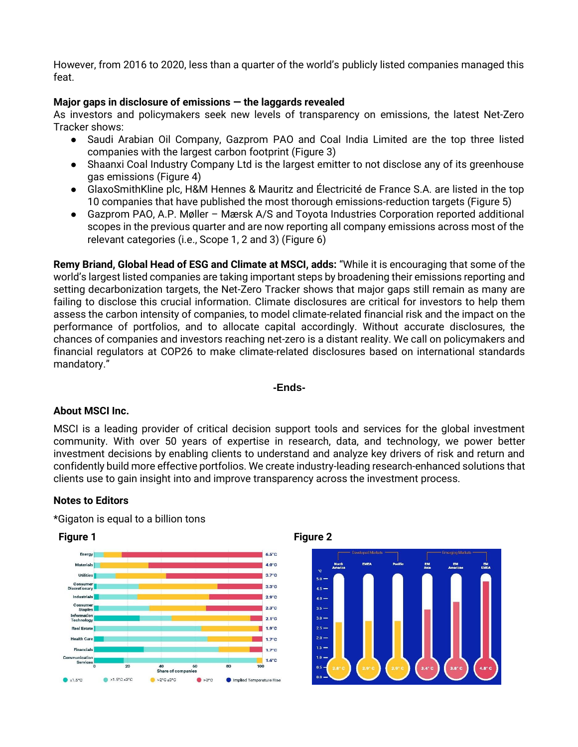However, from 2016 to 2020, less than a quarter of the world's publicly listed companies managed this feat.

## **Major gaps in disclosure of emissions — the laggards revealed**

As investors and policymakers seek new levels of transparency on emissions, the latest Net-Zero Tracker shows:

- Saudi Arabian Oil Company, Gazprom PAO and Coal India Limited are the top three listed companies with the largest carbon footprint (Figure 3)
- Shaanxi Coal Industry Company Ltd is the largest emitter to not disclose any of its greenhouse gas emissions (Figure 4)
- GlaxoSmithKline plc, H&M Hennes & Mauritz and Électricité de France S.A. are listed in the top 10 companies that have published the most thorough emissions-reduction targets (Figure 5)
- Gazprom PAO, A.P. Møller Mærsk A/S and Toyota Industries Corporation reported additional scopes in the previous quarter and are now reporting all company emissions across most of the relevant categories (i.e., Scope 1, 2 and 3) (Figure 6)

**Remy Briand, Global Head of ESG and Climate at MSCI, adds:** "While it is encouraging that some of the world's largest listed companies are taking important steps by broadening their emissions reporting and setting decarbonization targets, the Net-Zero Tracker shows that major gaps still remain as many are failing to disclose this crucial information. Climate disclosures are critical for investors to help them assess the carbon intensity of companies, to model climate-related financial risk and the impact on the performance of portfolios, and to allocate capital accordingly. Without accurate disclosures, the chances of companies and investors reaching net-zero is a distant reality. We call on policymakers and financial regulators at COP26 to make climate-related disclosures based on international standards mandatory."

### **-Ends-**

### **About MSCI Inc.**

MSCI is a leading provider of critical decision support tools and services for the global investment community. With over 50 years of expertise in research, data, and technology, we power better investment decisions by enabling clients to understand and analyze key drivers of risk and return and confidently build more effective portfolios. We create industry-leading research-enhanced solutions that clients use to gain insight into and improve transparency across the investment process.

### **Notes to Editors**

\*Gigaton is equal to a billion tons





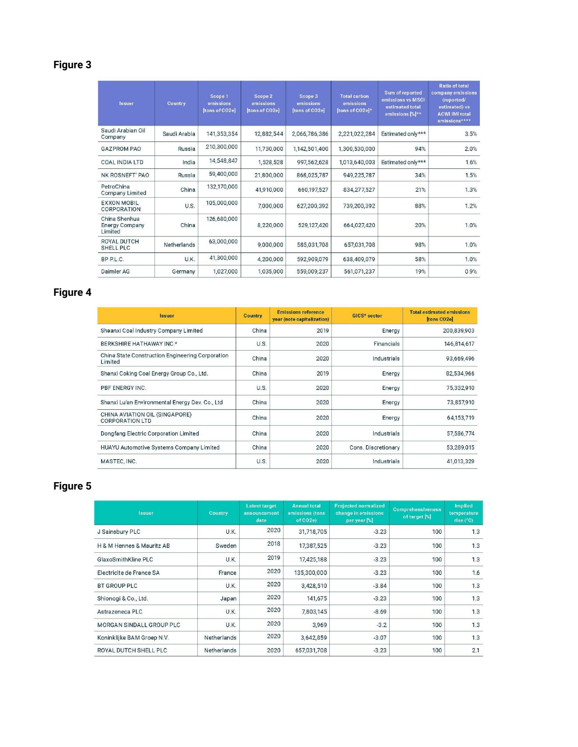## **Figure 3**

| <b>Issuer</b>                                     | Country      | Scope 1<br>emissions<br><b>Itons of CO2e]</b> | Scope 2<br>emissions<br><b>Itons of CO2el</b> | Scope 3<br>emissions<br><b>Itons of CO2el</b> | <b>Total carbon</b><br>emissions<br>Itons of CO2el* | Sum of reported<br>emissions vs MSCI<br>estimated total<br>emissions [%]** | <b>Ratio of total</b><br>company emissions<br>(reported/<br>estimated) vs<br><b>ACWI IMI total</b><br>emissions**** |
|---------------------------------------------------|--------------|-----------------------------------------------|-----------------------------------------------|-----------------------------------------------|-----------------------------------------------------|----------------------------------------------------------------------------|---------------------------------------------------------------------------------------------------------------------|
| Saudi Arabian Oil<br>Company                      | Saudi Arabia | 141,353,354                                   | 12,882,544                                    | 2,066,786,386                                 | 2,221,022,284                                       | Estimated only***                                                          | 3.5%                                                                                                                |
| <b>GAZPROM PAO</b>                                | Russia       | 210,300,000                                   | 11,730,000                                    | 1,142,501,400                                 | 1,300,530,000                                       | 94%                                                                        | 2.0%                                                                                                                |
| <b>COAL INDIA LTD</b>                             | India        | 14,548,847                                    | 1,528,528                                     | 997,562,628                                   | 1,013,640,003                                       | Estimated only***                                                          | 1.6%                                                                                                                |
| NK ROSNEFT' PAO                                   | Russia       | 59,400,000                                    | 21,800,000                                    | 868,025,787                                   | 949,225,787                                         | 34%                                                                        | 1.5%                                                                                                                |
| PetroChina<br><b>Company Limited</b>              | China        | 132,170,000                                   | 41,910,000                                    | 660,197,527                                   | 834, 277, 527                                       | 21%                                                                        | 1.3%                                                                                                                |
| <b>EXXON MOBIL</b><br>CORPORATION                 | U.S.         | 105,000,000                                   | 7,000,000                                     | 627,200,392                                   | 739.200,392                                         | 88%                                                                        | 1.2%                                                                                                                |
| China Shenhua<br><b>Energy Company</b><br>Limited | China        | 126,680,000                                   | 8,220,000                                     | 529,127,420                                   | 664,027,420                                         | 20%                                                                        | 1.0%                                                                                                                |
| <b>ROYAL DUTCH</b><br>SHELL PLC                   | Netherlands  | 63,000,000                                    | 9,000,000                                     | 585,031,708                                   | 657,031,708                                         | 98%                                                                        | 1.0%                                                                                                                |
| BP P.L.C.                                         | U.K.         | 41,300,000                                    | 4,200,000                                     | 592,909,079                                   | 638,409,079                                         | 58%                                                                        | 1.0%                                                                                                                |
| Daimler AG                                        | Germany      | 1,027,000                                     | 1,035,000                                     | 559,009,237                                   | 561,071,237                                         | 19%                                                                        | 0.9%                                                                                                                |

## **Figure 4**

| <b>Issuer</b>                                               | Country | <b>Emissions reference</b><br>year (note capitalization) | <b>GICS®</b> sector | <b>Total estimated emissions</b><br>tons CO <sub>2el</sub> |
|-------------------------------------------------------------|---------|----------------------------------------------------------|---------------------|------------------------------------------------------------|
| Shaanxi Coal Industry Company Limited                       | China   | 2019                                                     | Energy              | 200,839,903                                                |
| BERKSHIRE HATHAWAY INC.*                                    | U.S.    | 2020                                                     | Financials          | 146,814,617                                                |
| China State Construction Engineering Corporation<br>Limited | China   | 2020                                                     | Industrials         | 93,669,496                                                 |
| Shanxi Coking Coal Energy Group Co., Ltd.                   | China   | 2019                                                     | Energy              | 82,534,966                                                 |
| PBF ENERGY INC.                                             | U.S.    | 2020                                                     | Energy              | 75,332,910                                                 |
| Shanxi Lu'an Environmental Energy Dev. Co., Ltd.            | China   | 2020                                                     | Energy              | 73,857,910                                                 |
| CHINA AVIATION OIL (SINGAPORE)<br><b>CORPORATION LTD</b>    | China   | 2020                                                     | Energy              | 64,153,719                                                 |
| Dongfang Electric Corporation Limited                       | China   | 2020                                                     | Industrials         | 57,586,774                                                 |
| HUAYU Automotive Systems Company Limited                    | China   | 2020                                                     | Cons. Discretionary | 53,289,015                                                 |
| MASTEC, INC.                                                | U.S.    | 2020                                                     | Industrials         | 41,013,329                                                 |

## **Figure 5**

| <b>Issuer</b>              | Country     | <b>Latest target</b><br>announcement<br>date | <b>Annual total</b><br>emissions (tons<br>of CO2e | <b>Projected normalized</b><br>change in emissions<br>per year [%] | <b>Comprehensiveness</b><br>of target [%] | <b>Implied</b><br>temperature<br>rise $(^{\circ}C)$ |
|----------------------------|-------------|----------------------------------------------|---------------------------------------------------|--------------------------------------------------------------------|-------------------------------------------|-----------------------------------------------------|
| J Sainsbury PLC            | U.K.        | 2020                                         | 31,718,705                                        | $-3.23$                                                            | 100                                       | 1.3                                                 |
| H & M Hennes & Mauritz AB  | Sweden      | 2018                                         | 17,387,525                                        | $-3.23$                                                            | 100                                       | 1.3                                                 |
| GlaxoSmithKline PLC        | <b>U.K.</b> | 2019                                         | 17,425,188                                        | $-3.23$                                                            | 100                                       | 1.3                                                 |
| Electricite de France SA   | France      | 2020                                         | 135,300,000                                       | $-3.23$                                                            | 100                                       | 1.6                                                 |
| BT GROUP PLC               | U.K.        | 2020                                         | 3,428,510                                         | $-3.84$                                                            | 100                                       | 1.3                                                 |
| Shionogi & Co., Ltd.       | Japan       | 2020                                         | 141,675                                           | $-3.23$                                                            | 100                                       | 1.3                                                 |
| Astrazeneca PLC            | U.K.        | 2020                                         | 7,803,145                                         | $-8.69$                                                            | 100                                       | 1.3                                                 |
| MORGAN SINDALL GROUP PLC   | U.K.        | 2020                                         | 3,969                                             | $-3.2$                                                             | 100                                       | 1.3                                                 |
| Koninklijke BAM Groep N.V. | Netherlands | 2020                                         | 3,642,859                                         | $-3.07$                                                            | 100                                       | 1.3                                                 |
| ROYAL DUTCH SHELL PLC      | Netherlands | 2020                                         | 657,031,708                                       | $-3.23$                                                            | 100                                       | 2.1                                                 |